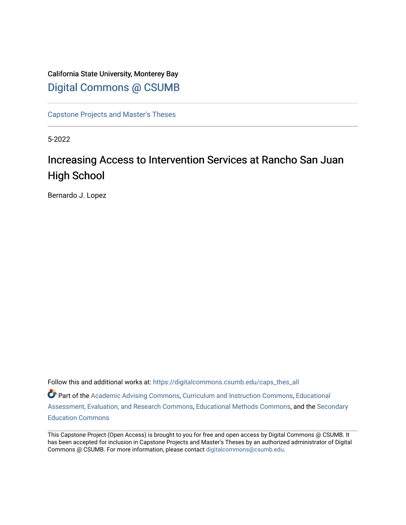## California State University, Monterey Bay [Digital Commons @ CSUMB](https://digitalcommons.csumb.edu/)

[Capstone Projects and Master's Theses](https://digitalcommons.csumb.edu/caps_thes_all)

5-2022

# Increasing Access to Intervention Services at Rancho San Juan High School

Bernardo J. Lopez

Follow this and additional works at: [https://digitalcommons.csumb.edu/caps\\_thes\\_all](https://digitalcommons.csumb.edu/caps_thes_all?utm_source=digitalcommons.csumb.edu%2Fcaps_thes_all%2F1326&utm_medium=PDF&utm_campaign=PDFCoverPages) Part of the [Academic Advising Commons](https://network.bepress.com/hgg/discipline/1403?utm_source=digitalcommons.csumb.edu%2Fcaps_thes_all%2F1326&utm_medium=PDF&utm_campaign=PDFCoverPages), [Curriculum and Instruction Commons,](https://network.bepress.com/hgg/discipline/786?utm_source=digitalcommons.csumb.edu%2Fcaps_thes_all%2F1326&utm_medium=PDF&utm_campaign=PDFCoverPages) [Educational](https://network.bepress.com/hgg/discipline/796?utm_source=digitalcommons.csumb.edu%2Fcaps_thes_all%2F1326&utm_medium=PDF&utm_campaign=PDFCoverPages)  [Assessment, Evaluation, and Research Commons](https://network.bepress.com/hgg/discipline/796?utm_source=digitalcommons.csumb.edu%2Fcaps_thes_all%2F1326&utm_medium=PDF&utm_campaign=PDFCoverPages), [Educational Methods Commons](https://network.bepress.com/hgg/discipline/1227?utm_source=digitalcommons.csumb.edu%2Fcaps_thes_all%2F1326&utm_medium=PDF&utm_campaign=PDFCoverPages), and the [Secondary](https://network.bepress.com/hgg/discipline/1382?utm_source=digitalcommons.csumb.edu%2Fcaps_thes_all%2F1326&utm_medium=PDF&utm_campaign=PDFCoverPages) [Education Commons](https://network.bepress.com/hgg/discipline/1382?utm_source=digitalcommons.csumb.edu%2Fcaps_thes_all%2F1326&utm_medium=PDF&utm_campaign=PDFCoverPages) 

This Capstone Project (Open Access) is brought to you for free and open access by Digital Commons @ CSUMB. It has been accepted for inclusion in Capstone Projects and Master's Theses by an authorized administrator of Digital Commons @ CSUMB. For more information, please contact [digitalcommons@csumb.edu](mailto:digitalcommons@csumb.edu).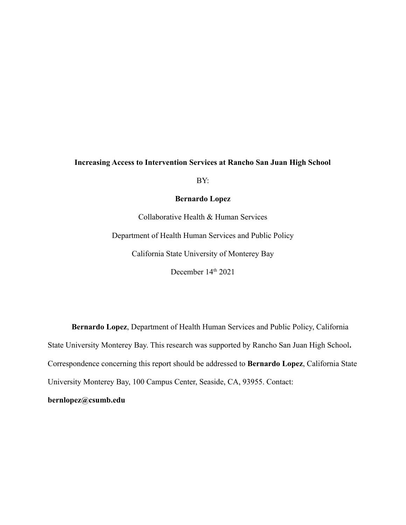BY:

### **Bernardo Lopez**

Collaborative Health & Human Services Department of Health Human Services and Public Policy California State University of Monterey Bay December 14<sup>th</sup> 2021

**Bernardo Lopez**, Department of Health Human Services and Public Policy, California State University Monterey Bay. This research was supported by Rancho San Juan High School**.** Correspondence concerning this report should be addressed to **Bernardo Lopez**, California State University Monterey Bay, 100 Campus Center, Seaside, CA, 93955. Contact:

### **bernlopez@csumb.edu**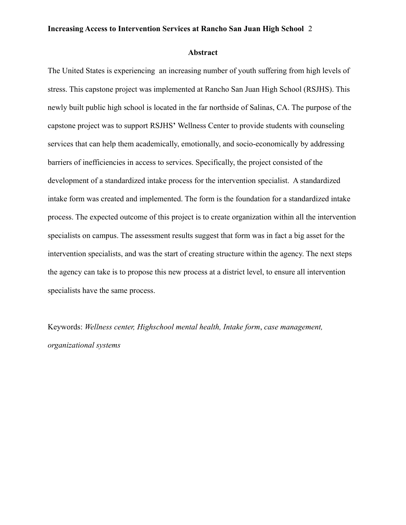#### **Abstract**

The United States is experiencing an increasing number of youth suffering from high levels of stress. This capstone project was implemented at Rancho San Juan High School (RSJHS). This newly built public high school is located in the far northside of Salinas, CA. The purpose of the capstone project was to support RSJHS**'** Wellness Center to provide students with counseling services that can help them academically, emotionally, and socio-economically by addressing barriers of inefficiencies in access to services. Specifically, the project consisted of the development of a standardized intake process for the intervention specialist. A standardized intake form was created and implemented. The form is the foundation for a standardized intake process. The expected outcome of this project is to create organization within all the intervention specialists on campus. The assessment results suggest that form was in fact a big asset for the intervention specialists, and was the start of creating structure within the agency. The next steps the agency can take is to propose this new process at a district level, to ensure all intervention specialists have the same process.

Keywords: *Wellness center, Highschool mental health, Intake form*, *case management, organizational systems*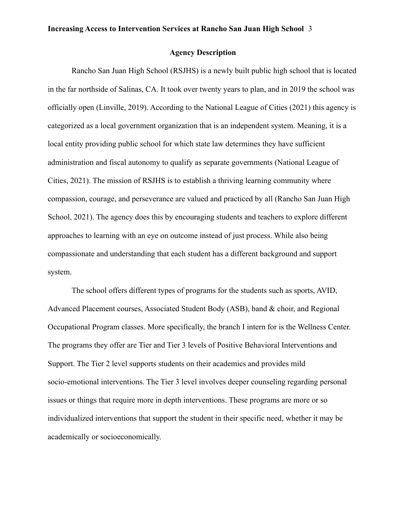### **Agency Description**

Rancho San Juan High School (RSJHS) is a newly built public high school that is located in the far northside of Salinas, CA. It took over twenty years to plan, and in 2019 the school was officially open (Linville, 2019). According to the National League of Cities (2021) this agency is categorized as a local government organization that is an independent system. Meaning, it is a local entity providing public school for which state law determines they have sufficient administration and fiscal autonomy to qualify as separate governments (National League of Cities, 2021). The mission of RSJHS is to establish a thriving learning community where compassion, courage, and perseverance are valued and practiced by all (Rancho San Juan High School, 2021). The agency does this by encouraging students and teachers to explore different approaches to learning with an eye on outcome instead of just process. While also being compassionate and understanding that each student has a different background and support system.

The school offers different types of programs for the students such as sports, AVID, Advanced Placement courses, Associated Student Body (ASB), band & choir, and Regional Occupational Program classes. More specifically, the branch I intern for is the Wellness Center. The programs they offer are Tier and Tier 3 levels of Positive Behavioral Interventions and Support. The Tier 2 level supports students on their academics and provides mild socio-emotional interventions. The Tier 3 level involves deeper counseling regarding personal issues or things that require more in depth interventions. These programs are more or so individualized interventions that support the student in their specific need, whether it may be academically or socioeconomically.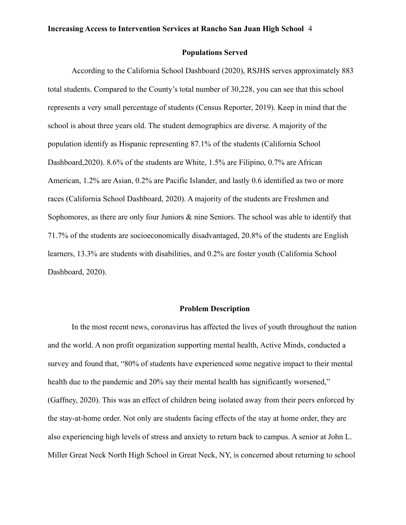#### **Populations Served**

According to the California School Dashboard (2020), RSJHS serves approximately 883 total students. Compared to the County's total number of 30,228, you can see that this school represents a very small percentage of students (Census Reporter, 2019). Keep in mind that the school is about three years old. The student demographics are diverse. A majority of the population identify as Hispanic representing 87.1% of the students (California School Dashboard,2020). 8.6% of the students are White, 1.5% are Filipino, 0.7% are African American, 1.2% are Asian, 0.2% are Pacific Islander, and lastly 0.6 identified as two or more races (California School Dashboard, 2020). A majority of the students are Freshmen and Sophomores, as there are only four Juniors  $\&$  nine Seniors. The school was able to identify that 71.7% of the students are socioeconomically disadvantaged, 20.8% of the students are English learners, 13.3% are students with disabilities, and 0.2% are foster youth (California School Dashboard, 2020).

#### **Problem Description**

In the most recent news, coronavirus has affected the lives of youth throughout the nation and the world. A non profit organization supporting mental health, Active Minds, conducted a survey and found that, "80% of students have experienced some negative impact to their mental health due to the pandemic and 20% say their mental health has significantly worsened," (Gaffney, 2020). This was an effect of children being isolated away from their peers enforced by the stay-at-home order. Not only are students facing effects of the stay at home order, they are also experiencing high levels of stress and anxiety to return back to campus. A senior at John L. Miller Great Neck North High School in Great Neck, NY, is concerned about returning to school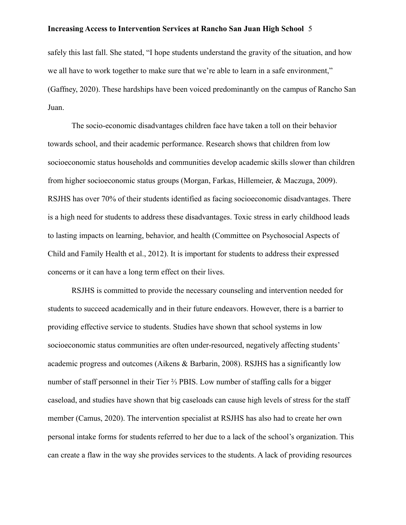safely this last fall. She stated, "I hope students understand the gravity of the situation, and how we all have to work together to make sure that we're able to learn in a safe environment," (Gaffney, 2020). These hardships have been voiced predominantly on the campus of Rancho San Juan.

The socio-economic disadvantages children face have taken a toll on their behavior towards school, and their academic performance. Research shows that children from low socioeconomic status households and communities develop academic skills slower than children from higher socioeconomic status groups (Morgan, Farkas, Hillemeier, & Maczuga, 2009). RSJHS has over 70% of their students identified as facing socioeconomic disadvantages. There is a high need for students to address these disadvantages. Toxic stress in early childhood leads to lasting impacts on learning, behavior, and health (Committee on Psychosocial Aspects of Child and Family Health et al., 2012). It is important for students to address their expressed concerns or it can have a long term effect on their lives.

RSJHS is committed to provide the necessary counseling and intervention needed for students to succeed academically and in their future endeavors. However, there is a barrier to providing effective service to students. Studies have shown that school systems in low socioeconomic status communities are often under-resourced, negatively affecting students' academic progress and outcomes (Aikens & Barbarin, 2008). RSJHS has a significantly low number of staff personnel in their Tier ⅔ PBIS. Low number of staffing calls for a bigger caseload, and studies have shown that big caseloads can cause high levels of stress for the staff member (Camus, 2020). The intervention specialist at RSJHS has also had to create her own personal intake forms for students referred to her due to a lack of the school's organization. This can create a flaw in the way she provides services to the students. A lack of providing resources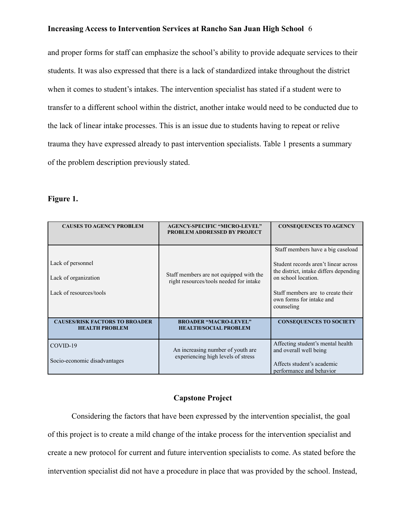and proper forms for staff can emphasize the school's ability to provide adequate services to their students. It was also expressed that there is a lack of standardized intake throughout the district when it comes to student's intakes. The intervention specialist has stated if a student were to transfer to a different school within the district, another intake would need to be conducted due to the lack of linear intake processes. This is an issue due to students having to repeat or relive trauma they have expressed already to past intervention specialists. Table 1 presents a summary of the problem description previously stated.

### **Figure 1.**

| <b>CAUSES TO AGENCY PROBLEM</b>                                      | <b>AGENCY-SPECIFIC "MICRO-LEVEL"</b><br><b>PROBLEM ADDRESSED BY PROJECT</b>        | <b>CONSEQUENCES TO AGENCY</b>                                                                                                                                                                                             |
|----------------------------------------------------------------------|------------------------------------------------------------------------------------|---------------------------------------------------------------------------------------------------------------------------------------------------------------------------------------------------------------------------|
| Lack of personnel<br>Lack of organization<br>Lack of resources/tools | Staff members are not equipped with the<br>right resources/tools needed for intake | Staff members have a big caseload<br>Student records aren't linear across<br>the district, intake differs depending<br>on school location.<br>Staff members are to create their<br>own forms for intake and<br>counseling |
| <b>CAUSES/RISK FACTORS TO BROADER</b><br><b>HEALTH PROBLEM</b>       | <b>BROADER "MACRO-LEVEL"</b><br><b>HEALTH/SOCIAL PROBLEM</b>                       | <b>CONSEQUENCES TO SOCIETY</b>                                                                                                                                                                                            |
| COVID-19<br>Socio-economic disadvantages                             | An increasing number of youth are.<br>experiencing high levels of stress           | Affecting student's mental health<br>and overall well being<br>Affects student's academic<br>performance and behavior                                                                                                     |

### **Capstone Project**

Considering the factors that have been expressed by the intervention specialist, the goal of this project is to create a mild change of the intake process for the intervention specialist and create a new protocol for current and future intervention specialists to come. As stated before the intervention specialist did not have a procedure in place that was provided by the school. Instead,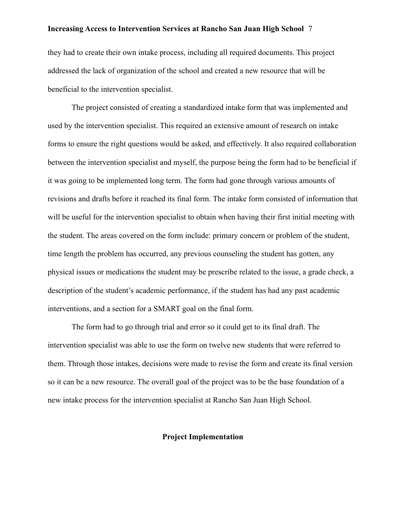they had to create their own intake process, including all required documents. This project addressed the lack of organization of the school and created a new resource that will be beneficial to the intervention specialist.

The project consisted of creating a standardized intake form that was implemented and used by the intervention specialist. This required an extensive amount of research on intake forms to ensure the right questions would be asked, and effectively. It also required collaboration between the intervention specialist and myself, the purpose being the form had to be beneficial if it was going to be implemented long term. The form had gone through various amounts of revisions and drafts before it reached its final form. The intake form consisted of information that will be useful for the intervention specialist to obtain when having their first initial meeting with the student. The areas covered on the form include: primary concern or problem of the student, time length the problem has occurred, any previous counseling the student has gotten, any physical issues or medications the student may be prescribe related to the issue, a grade check, a description of the student's academic performance, if the student has had any past academic interventions, and a section for a SMART goal on the final form.

The form had to go through trial and error so it could get to its final draft. The intervention specialist was able to use the form on twelve new students that were referred to them. Through those intakes, decisions were made to revise the form and create its final version so it can be a new resource. The overall goal of the project was to be the base foundation of a new intake process for the intervention specialist at Rancho San Juan High School.

### **Project Implementation**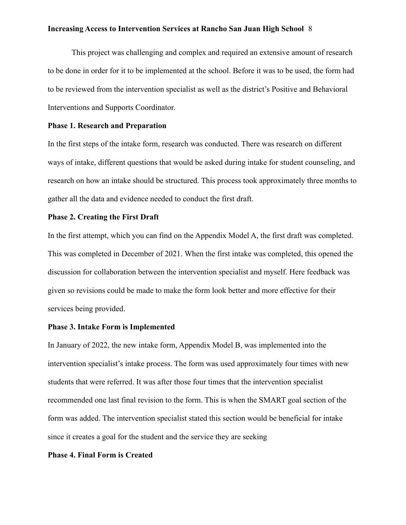This project was challenging and complex and required an extensive amount of research to be done in order for it to be implemented at the school. Before it was to be used, the form had to be reviewed from the intervention specialist as well as the district's Positive and Behavioral Interventions and Supports Coordinator.

### **Phase 1. Research and Preparation**

In the first steps of the intake form, research was conducted. There was research on different ways of intake, different questions that would be asked during intake for student counseling, and research on how an intake should be structured. This process took approximately three months to gather all the data and evidence needed to conduct the first draft.

#### **Phase 2. Creating the First Draft**

In the first attempt, which you can find on the Appendix Model A, the first draft was completed. This was completed in December of 2021. When the first intake was completed, this opened the discussion for collaboration between the intervention specialist and myself. Here feedback was given so revisions could be made to make the form look better and more effective for their services being provided.

### **Phase 3. Intake Form is Implemented**

In January of 2022, the new intake form, Appendix Model B, was implemented into the intervention specialist's intake process. The form was used approximately four times with new students that were referred. It was after those four times that the intervention specialist recommended one last final revision to the form. This is when the SMART goal section of the form was added. The intervention specialist stated this section would be beneficial for intake since it creates a goal for the student and the service they are seeking

### **Phase 4. Final Form is Created**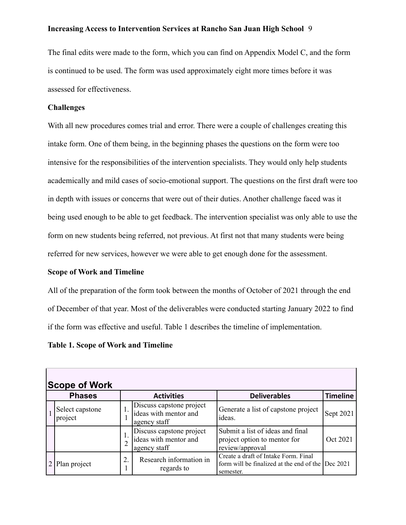The final edits were made to the form, which you can find on Appendix Model C, and the form is continued to be used. The form was used approximately eight more times before it was assessed for effectiveness.

### **Challenges**

With all new procedures comes trial and error. There were a couple of challenges creating this intake form. One of them being, in the beginning phases the questions on the form were too intensive for the responsibilities of the intervention specialists. They would only help students academically and mild cases of socio-emotional support. The questions on the first draft were too in depth with issues or concerns that were out of their duties. Another challenge faced was it being used enough to be able to get feedback. The intervention specialist was only able to use the form on new students being referred, not previous. At first not that many students were being referred for new services, however we were able to get enough done for the assessment.

### **Scope of Work and Timeline**

All of the preparation of the form took between the months of October of 2021 through the end of December of that year. Most of the deliverables were conducted starting January 2022 to find if the form was effective and useful. Table 1 describes the timeline of implementation.

### **Table 1. Scope of Work and Timeline**

| <b>Scope of Work</b>       |    |                                                                   |                                                                                               |                   |  |  |
|----------------------------|----|-------------------------------------------------------------------|-----------------------------------------------------------------------------------------------|-------------------|--|--|
| <b>Phases</b>              |    | <b>Activities</b>                                                 | <b>Deliverables</b>                                                                           | <b>Timeline</b>   |  |  |
| Select capstone<br>project |    | Discuss capstone project<br>ideas with mentor and<br>agency staff | Generate a list of capstone project<br>ideas.                                                 | Sept 2021         |  |  |
|                            |    | Discuss capstone project<br>ideas with mentor and<br>agency staff | Submit a list of ideas and final<br>project option to mentor for<br>review/approval           | Oct 2021          |  |  |
| 2 Plan project             | 2. | Research information in<br>regards to                             | Create a draft of Intake Form. Final<br>form will be finalized at the end of the<br>semester. | $\Gamma$ Dec 2021 |  |  |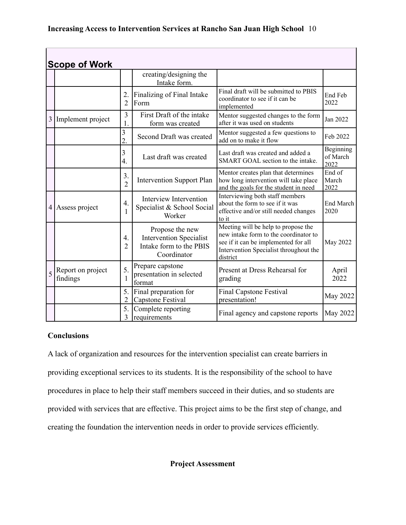|   | <b>Scope of Work</b>          |                                    |                                                                                             |                                                                                                                                                                            |                               |
|---|-------------------------------|------------------------------------|---------------------------------------------------------------------------------------------|----------------------------------------------------------------------------------------------------------------------------------------------------------------------------|-------------------------------|
|   |                               |                                    | creating/designing the<br>Intake form.                                                      |                                                                                                                                                                            |                               |
|   |                               | 2.<br>$\overline{2}$               | Finalizing of Final Intake<br>Form                                                          | Final draft will be submitted to PBIS<br>coordinator to see if it can be<br>implemented                                                                                    | End Feb<br>2022               |
| 3 | Implement project             | 3<br>1.                            | First Draft of the intake<br>form was created                                               | Mentor suggested changes to the form<br>after it was used on students                                                                                                      | Jan 2022                      |
|   |                               | 3<br>$\overline{2}$                | Second Draft was created                                                                    | Mentor suggested a few questions to<br>add on to make it flow                                                                                                              | Feb 2022                      |
|   |                               | 3<br>$\overline{4}$ .              | Last draft was created                                                                      | Last draft was created and added a<br>SMART GOAL section to the intake.                                                                                                    | Beginning<br>of March<br>2022 |
|   |                               | 3.<br>$\overline{2}$               | <b>Intervention Support Plan</b>                                                            | Mentor creates plan that determines<br>how long intervention will take place<br>and the goals for the student in need                                                      | End of<br>March<br>2022       |
|   | 4 Assess project              | $\overline{4}$ .<br>1              | Interview Intervention<br>Specialist & School Social<br>Worker                              | Interviewing both staff members<br>about the form to see if it was<br>effective and/or still needed changes<br>to it                                                       | End March<br>2020             |
|   |                               | $\overline{4}$ .<br>$\overline{2}$ | Propose the new<br><b>Intervention Specialist</b><br>Intake form to the PBIS<br>Coordinator | Meeting will be help to propose the<br>new intake form to the coordinator to<br>see if it can be implemented for all<br>Intervention Specialist throughout the<br>district | May 2022                      |
| 5 | Report on project<br>findings | 5.<br>1                            | Prepare capstone<br>presentation in selected<br>format                                      | Present at Dress Rehearsal for<br>grading                                                                                                                                  | April<br>2022                 |
|   |                               | 5.<br>$\overline{2}$               | Final preparation for<br>Capstone Festival                                                  | <b>Final Capstone Festival</b><br>presentation!                                                                                                                            | May 2022                      |
|   |                               | 5.<br>3                            | Complete reporting<br>requirements                                                          | Final agency and capstone reports                                                                                                                                          | May 2022                      |

### **Conclusions**

A lack of organization and resources for the intervention specialist can create barriers in providing exceptional services to its students. It is the responsibility of the school to have procedures in place to help their staff members succeed in their duties, and so students are provided with services that are effective. This project aims to be the first step of change, and creating the foundation the intervention needs in order to provide services efficiently.

**Project Assessment**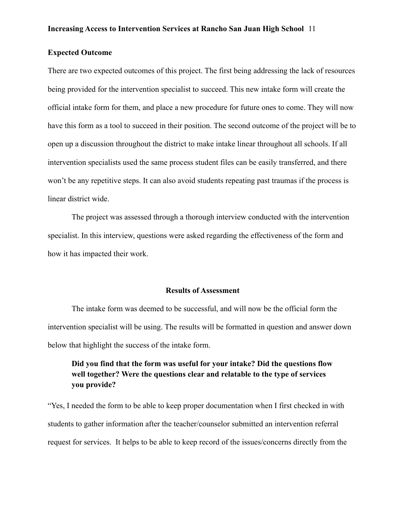### **Expected Outcome**

There are two expected outcomes of this project. The first being addressing the lack of resources being provided for the intervention specialist to succeed. This new intake form will create the official intake form for them, and place a new procedure for future ones to come. They will now have this form as a tool to succeed in their position. The second outcome of the project will be to open up a discussion throughout the district to make intake linear throughout all schools. If all intervention specialists used the same process student files can be easily transferred, and there won't be any repetitive steps. It can also avoid students repeating past traumas if the process is linear district wide.

The project was assessed through a thorough interview conducted with the intervention specialist. In this interview, questions were asked regarding the effectiveness of the form and how it has impacted their work.

#### **Results of Assessment**

The intake form was deemed to be successful, and will now be the official form the intervention specialist will be using. The results will be formatted in question and answer down below that highlight the success of the intake form.

### **Did you find that the form was useful for your intake? Did the questions flow well together? Were the questions clear and relatable to the type of services you provide?**

"Yes, I needed the form to be able to keep proper documentation when I first checked in with students to gather information after the teacher/counselor submitted an intervention referral request for services. It helps to be able to keep record of the issues/concerns directly from the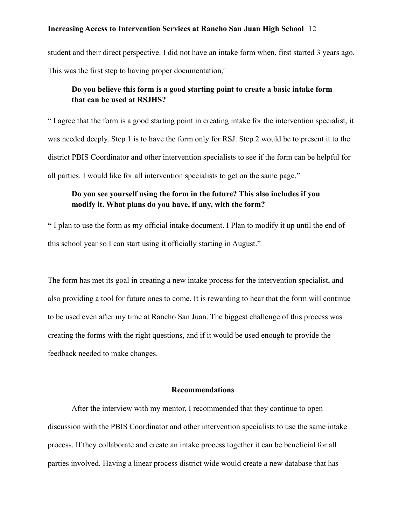student and their direct perspective. I did not have an intake form when, first started 3 years ago. This was the first step to having proper documentation,"

### **Do you believe this form is a good starting point to create a basic intake form that can be used at RSJHS?**

" I agree that the form is a good starting point in creating intake for the intervention specialist, it was needed deeply. Step 1 is to have the form only for RSJ. Step 2 would be to present it to the district PBIS Coordinator and other intervention specialists to see if the form can be helpful for all parties. I would like for all intervention specialists to get on the same page."

### **Do you see yourself using the form in the future? This also includes if you modify it. What plans do you have, if any, with the form?**

**"** I plan to use the form as my official intake document. I Plan to modify it up until the end of this school year so I can start using it officially starting in August."

The form has met its goal in creating a new intake process for the intervention specialist, and also providing a tool for future ones to come. It is rewarding to hear that the form will continue to be used even after my time at Rancho San Juan. The biggest challenge of this process was creating the forms with the right questions, and if it would be used enough to provide the feedback needed to make changes.

### **Recommendations**

After the interview with my mentor, I recommended that they continue to open discussion with the PBIS Coordinator and other intervention specialists to use the same intake process. If they collaborate and create an intake process together it can be beneficial for all parties involved. Having a linear process district wide would create a new database that has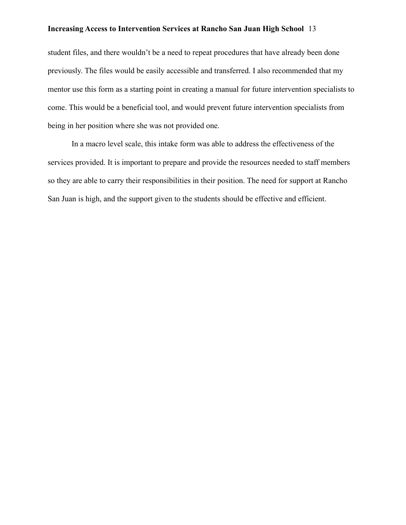student files, and there wouldn't be a need to repeat procedures that have already been done previously. The files would be easily accessible and transferred. I also recommended that my mentor use this form as a starting point in creating a manual for future intervention specialists to come. This would be a beneficial tool, and would prevent future intervention specialists from being in her position where she was not provided one.

In a macro level scale, this intake form was able to address the effectiveness of the services provided. It is important to prepare and provide the resources needed to staff members so they are able to carry their responsibilities in their position. The need for support at Rancho San Juan is high, and the support given to the students should be effective and efficient.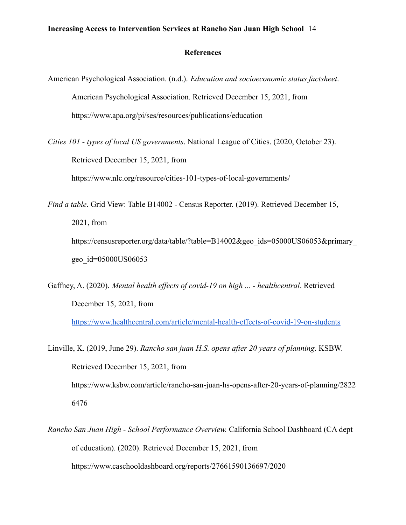#### **References**

- American Psychological Association. (n.d.). *Education and socioeconomic status factsheet*. American Psychological Association. Retrieved December 15, 2021, from https://www.apa.org/pi/ses/resources/publications/education
- *Cities 101 types of local US governments*. National League of Cities. (2020, October 23). Retrieved December 15, 2021, from

https://www.nlc.org/resource/cities-101-types-of-local-governments/

- *Find a table*. Grid View: Table B14002 Census Reporter. (2019). Retrieved December 15, 2021, from https://censusreporter.org/data/table/?table=B14002&geo\_ids=05000US06053&primary geo\_id=05000US06053
- Gaffney, A. (2020). *Mental health effects of covid-19 on high ... healthcentral*. Retrieved December 15, 2021, from

<https://www.healthcentral.com/article/mental-health-effects-of-covid-19-on-students>

- Linville, K. (2019, June 29). *Rancho san juan H.S. opens after 20 years of planning*. KSBW. Retrieved December 15, 2021, from https://www.ksbw.com/article/rancho-san-juan-hs-opens-after-20-years-of-planning/2822 6476
- *Rancho San Juan High School Performance Overview.* California School Dashboard (CA dept of education). (2020). Retrieved December 15, 2021, from https://www.caschooldashboard.org/reports/27661590136697/2020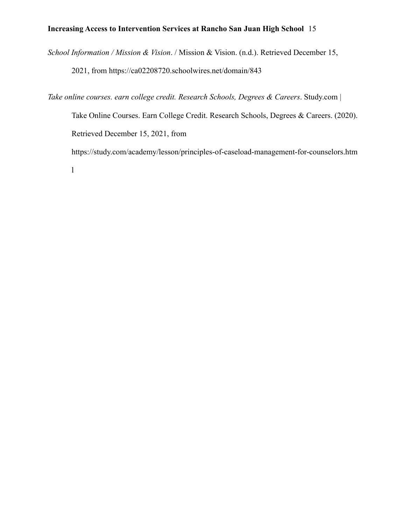*School Information / Mission & Vision*. / Mission & Vision. (n.d.). Retrieved December 15,

2021, from https://ca02208720.schoolwires.net/domain/843

*Take online courses. earn college credit. Research Schools, Degrees & Careers*. Study.com | Take Online Courses. Earn College Credit. Research Schools, Degrees & Careers. (2020). Retrieved December 15, 2021, from https://study.com/academy/lesson/principles-of-caseload-management-for-counselors.htm

l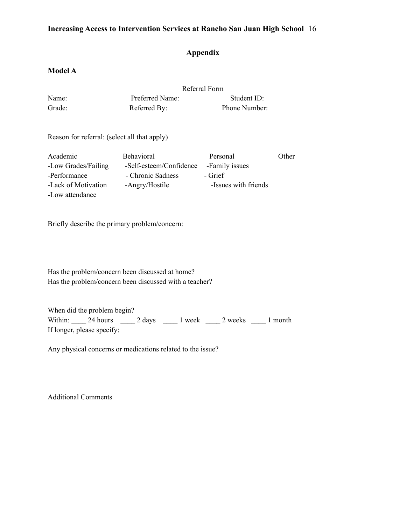### **Appendix**

### **Model A**

|                                              | Referral Form           |                      |       |
|----------------------------------------------|-------------------------|----------------------|-------|
| Name:                                        | Preferred Name:         | Student ID:          |       |
| Grade:                                       | Referred By:            | Phone Number:        |       |
| Reason for referral: (select all that apply) |                         |                      |       |
| Academic                                     | Behavioral              | Personal             | Other |
| -Low Grades/Failing                          | -Self-esteem/Confidence | -Family issues       |       |
| -Performance                                 | - Chronic Sadness       | - Grief              |       |
| -Lack of Motivation                          | -Angry/Hostile          | -Issues with friends |       |
| -Low attendance                              |                         |                      |       |

Briefly describe the primary problem/concern:

Has the problem/concern been discussed at home? Has the problem/concern been discussed with a teacher?

When did the problem begin? Within: 24 hours 2 days 1 week 2 weeks 1 month If longer, please specify:

Any physical concerns or medications related to the issue?

Additional Comments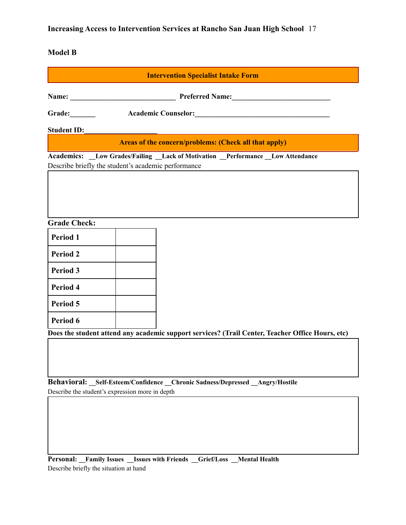### **Model B**

|                     |                                                     | <b>Intervention Specialist Intake Form</b>                                                       |
|---------------------|-----------------------------------------------------|--------------------------------------------------------------------------------------------------|
|                     |                                                     |                                                                                                  |
| Grade:              |                                                     | Academic Counselor: New York Counselor:                                                          |
| <b>Student ID:</b>  |                                                     |                                                                                                  |
|                     |                                                     | Areas of the concern/problems: (Check all that apply)                                            |
|                     | Describe briefly the student's academic performance | Academics: _Low Grades/Failing _Lack of Motivation _Performance _Low Attendance                  |
|                     |                                                     |                                                                                                  |
|                     |                                                     |                                                                                                  |
|                     |                                                     |                                                                                                  |
| <b>Grade Check:</b> |                                                     |                                                                                                  |
| Period 1            |                                                     |                                                                                                  |
| <b>Period 2</b>     |                                                     |                                                                                                  |
| <b>Period 3</b>     |                                                     |                                                                                                  |
| Period 4            |                                                     |                                                                                                  |
| Period 5            |                                                     |                                                                                                  |
| Period 6            |                                                     |                                                                                                  |
|                     |                                                     | Does the student attend any academic support services? (Trail Center, Teacher Office Hours, etc) |
|                     |                                                     |                                                                                                  |
|                     |                                                     |                                                                                                  |
|                     |                                                     |                                                                                                  |
|                     |                                                     | Behavioral: _Self-Esteem/Confidence _Chronic Sadness/Depressed _Angry/Hostile                    |
|                     | Describe the student's expression more in depth     |                                                                                                  |
|                     |                                                     |                                                                                                  |
|                     |                                                     |                                                                                                  |
|                     |                                                     |                                                                                                  |

**Personal: \_\_Family Issues \_\_Issues with Friends \_\_Grief/Loss \_\_Mental Health** Describe briefly the situation at hand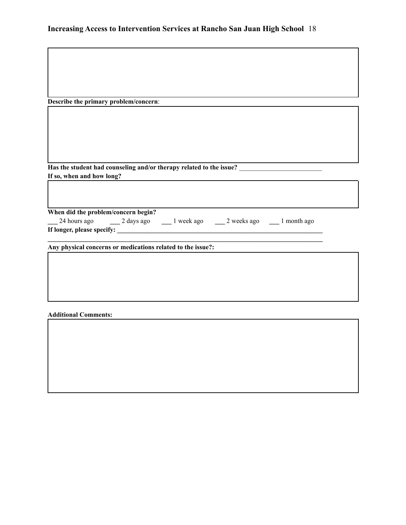| Describe the primary problem/concern:                                                                |
|------------------------------------------------------------------------------------------------------|
|                                                                                                      |
|                                                                                                      |
|                                                                                                      |
|                                                                                                      |
|                                                                                                      |
|                                                                                                      |
| Has the student had counseling and/or therapy related to the issue? ________________________________ |
| If so, when and how long?                                                                            |
|                                                                                                      |
|                                                                                                      |
| When did the problem/concern begin?                                                                  |
| 24 hours ago 24 days ago 2 hours ago 2 weeks ago 2 hours ago 2 hours ago                             |
|                                                                                                      |
|                                                                                                      |
| Any physical concerns or medications related to the issue?:                                          |
|                                                                                                      |
|                                                                                                      |
|                                                                                                      |
|                                                                                                      |
|                                                                                                      |

### **Additional Comments:**

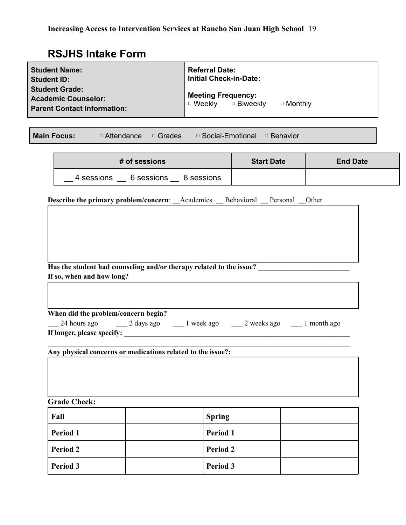# **RSJHS Intake Form**

| <b>Student Name:</b><br><b>Student ID:</b><br><b>Student Grade:</b><br>  Academic Counselor:<br><b>Parent Contact Information:</b> | <b>Referral Date:</b><br><b>Initial Check-in-Date:</b><br><b>Meeting Frequency:</b><br>$\circ$ Weekly $\circ$ Biweekly<br>$\circ$ Monthly |  |  |  |
|------------------------------------------------------------------------------------------------------------------------------------|-------------------------------------------------------------------------------------------------------------------------------------------|--|--|--|
| <b>Main Focus:</b><br>$\circ$ Attendance<br>□ Grades                                                                               | □ Social-Emotional<br>□ Behavior                                                                                                          |  |  |  |
| # of sessions<br><b>Start Date</b><br><b>End Date</b>                                                                              |                                                                                                                                           |  |  |  |
| 4 sessions 6 sessions 8 sessions                                                                                                   |                                                                                                                                           |  |  |  |

**Describe the primary problem/concern:** \_\_Academics \_\_Behavioral \_\_Personal \_\_Other

| Has the student had counseling and/or therapy related to the issue? |  |
|---------------------------------------------------------------------|--|
| If so, when and how long?                                           |  |

| When did the problem/concern begin? |            |            |             |             |  |  |
|-------------------------------------|------------|------------|-------------|-------------|--|--|
| 24 hours ago                        | 2 days ago | l week ago | 2 weeks ago | 1 month ago |  |  |
| If longer, please specify:          |            |            |             |             |  |  |

**Any physical concerns or medications related to the issue?:**

**Grade Check:**

| Fall            | <b>Spring</b>   |  |
|-----------------|-----------------|--|
| <b>Period 1</b> | <b>Period 1</b> |  |
| <b>Period 2</b> | <b>Period 2</b> |  |
| <b>Period 3</b> | <b>Period 3</b> |  |